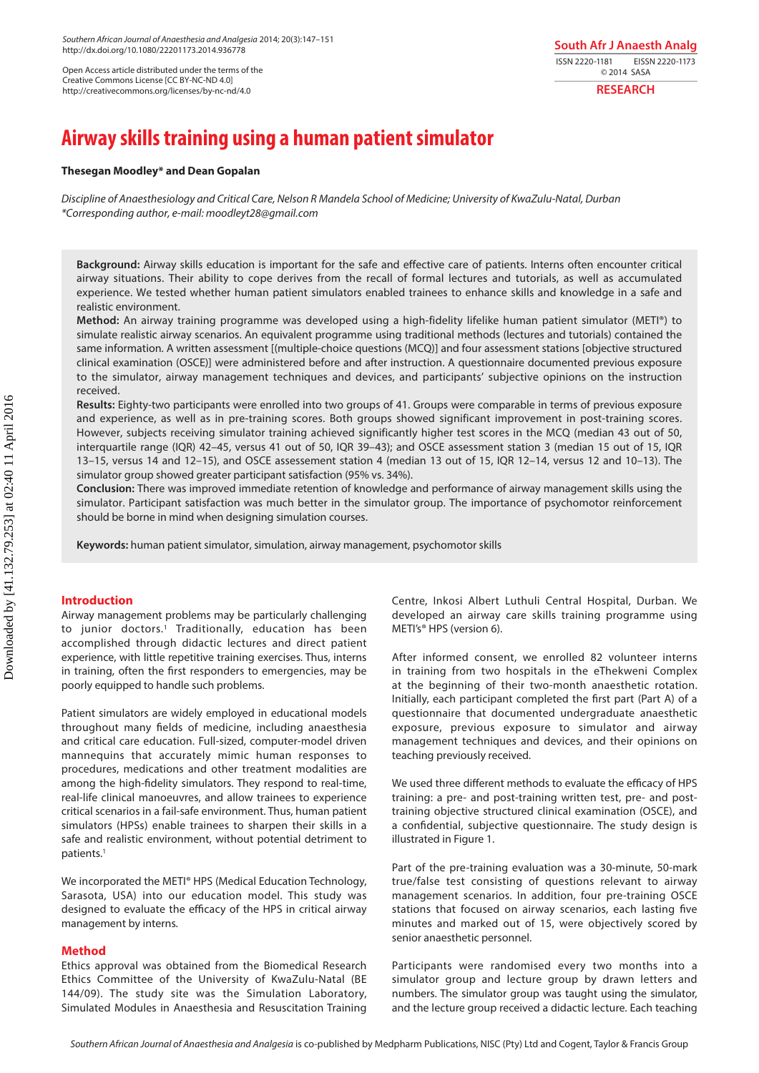Open Access article distributed under the terms of the Creative Commons License [CC BY-NC-ND 4.0] http://creativecommons.org/licenses/by-nc-nd/4.0

# **Airway skills training using a human patient simulator**

# **Thesegan Moodley\* and Dean Gopalan**

Discipline of Anaesthesiology and Critical Care, Nelson R Mandela School of Medicine; University of KwaZulu-Natal, Durban \*Corresponding author, e-mail: moodleyt28@gmail.com

**Background:** Airway skills education is important for the safe and effective care of patients. Interns often encounter critical airway situations. Their ability to cope derives from the recall of formal lectures and tutorials, as well as accumulated experience. We tested whether human patient simulators enabled trainees to enhance skills and knowledge in a safe and realistic environment.

**Method:** An airway training programme was developed using a high-fidelity lifelike human patient simulator (METI®) to simulate realistic airway scenarios. An equivalent programme using traditional methods (lectures and tutorials) contained the same information. A written assessment [(multiple-choice questions (MCQ)] and four assessment stations [objective structured clinical examination (OSCE)] were administered before and after instruction. A questionnaire documented previous exposure to the simulator, airway management techniques and devices, and participants' subjective opinions on the instruction received.

**Results:** Eighty-two participants were enrolled into two groups of 41. Groups were comparable in terms of previous exposure and experience, as well as in pre-training scores. Both groups showed significant improvement in post-training scores. However, subjects receiving simulator training achieved significantly higher test scores in the MCQ (median 43 out of 50, interquartile range (IQR) 42–45, versus 41 out of 50, IQR 39–43); and OSCE assessment station 3 (median 15 out of 15, IQR 13–15, versus 14 and 12–15), and OSCE assessement station 4 (median 13 out of 15, IQR 12–14, versus 12 and 10–13). The simulator group showed greater participant satisfaction (95% vs. 34%).

**Conclusion:** There was improved immediate retention of knowledge and performance of airway management skills using the simulator. Participant satisfaction was much better in the simulator group. The importance of psychomotor reinforcement should be borne in mind when designing simulation courses.

**Keywords:** human patient simulator, simulation, airway management, psychomotor skills

### **Introduction**

Airway management problems may be particularly challenging to junior doctors.<sup>1</sup> Traditionally, education has been accomplished through didactic lectures and direct patient experience, with little repetitive training exercises. Thus, interns in training, often the first responders to emergencies, may be poorly equipped to handle such problems.

Patient simulators are widely employed in educational models throughout many fields of medicine, including anaesthesia and critical care education. Full-sized, computer-model driven mannequins that accurately mimic human responses to procedures, medications and other treatment modalities are among the high-fidelity simulators. They respond to real-time, real-life clinical manoeuvres, and allow trainees to experience critical scenarios in a fail-safe environment. Thus, human patient simulators (HPSs) enable trainees to sharpen their skills in a safe and realistic environment, without potential detriment to patients.1

We incorporated the METI® HPS (Medical Education Technology, Sarasota, USA) into our education model. This study was designed to evaluate the efficacy of the HPS in critical airway management by interns.

### **Method**

Ethics approval was obtained from the Biomedical Research Ethics Committee of the University of KwaZulu-Natal (BE 144/09). The study site was the Simulation Laboratory, Simulated Modules in Anaesthesia and Resuscitation Training Centre, Inkosi Albert Luthuli Central Hospital, Durban. We developed an airway care skills training programme using METI's® HPS (version 6).

After informed consent, we enrolled 82 volunteer interns in training from two hospitals in the eThekweni Complex at the beginning of their two-month anaesthetic rotation. Initially, each participant completed the first part (Part A) of a questionnaire that documented undergraduate anaesthetic exposure, previous exposure to simulator and airway management techniques and devices, and their opinions on teaching previously received.

We used three different methods to evaluate the efficacy of HPS training: a pre- and post-training written test, pre- and posttraining objective structured clinical examination (OSCE), and a confidential, subjective questionnaire. The study design is illustrated in Figure 1.

Part of the pre-training evaluation was a 30-minute, 50-mark true/false test consisting of questions relevant to airway management scenarios. In addition, four pre-training OSCE stations that focused on airway scenarios, each lasting five minutes and marked out of 15, were objectively scored by senior anaesthetic personnel.

Participants were randomised every two months into a simulator group and lecture group by drawn letters and numbers. The simulator group was taught using the simulator, and the lecture group received a didactic lecture. Each teaching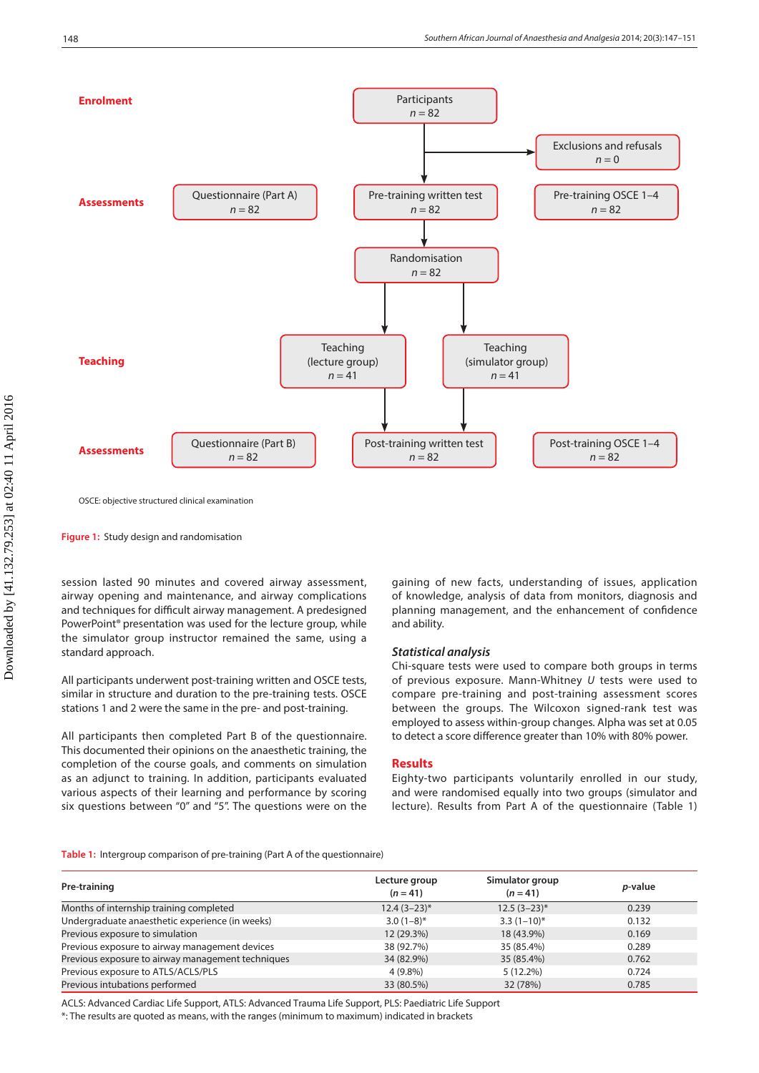

OSCE: objective structured clinical examination

**Figure 1:** Study design and randomisation

session lasted 90 minutes and covered airway assessment, airway opening and maintenance, and airway complications and techniques for difficult airway management. A predesigned PowerPoint® presentation was used for the lecture group, while the simulator group instructor remained the same, using a standard approach.

All participants underwent post-training written and OSCE tests, similar in structure and duration to the pre-training tests. OSCE stations 1 and 2 were the same in the pre- and post-training.

All participants then completed Part B of the questionnaire. This documented their opinions on the anaesthetic training, the completion of the course goals, and comments on simulation as an adjunct to training. In addition, participants evaluated various aspects of their learning and performance by scoring six questions between "0" and "5". The questions were on the

gaining of new facts, understanding of issues, application of knowledge, analysis of data from monitors, diagnosis and planning management, and the enhancement of confidence and ability.

# **Statistical analysis**

Chi-square tests were used to compare both groups in terms of previous exposure. Mann-Whitney U tests were used to compare pre-training and post-training assessment scores between the groups. The Wilcoxon signed-rank test was employed to assess within-group changes. Alpha was set at 0.05 to detect a score difference greater than 10% with 80% power.

### **Results**

Eighty-two participants voluntarily enrolled in our study, and were randomised equally into two groups (simulator and lecture). Results from Part A of the questionnaire (Table 1)

**Table 1:** Intergroup comparison of pre-training (Part A of the questionnaire)

| Pre-training                                      | Lecture group<br>$(n = 41)$ | Simulator group<br>$(n = 41)$ | <i>p</i> -value |
|---------------------------------------------------|-----------------------------|-------------------------------|-----------------|
| Months of internship training completed           | $12.4(3-23)*$               | $12.5(3-23)*$                 | 0.239           |
| Undergraduate anaesthetic experience (in weeks)   | $3.0(1-8)$ *                | $3.3(1-10)*$                  | 0.132           |
| Previous exposure to simulation                   | 12 (29.3%)                  | 18 (43.9%)                    | 0.169           |
| Previous exposure to airway management devices    | 38 (92.7%)                  | 35 (85.4%)                    | 0.289           |
| Previous exposure to airway management techniques | 34 (82.9%)                  | 35 (85.4%)                    | 0.762           |
| Previous exposure to ATLS/ACLS/PLS                | 4 (9.8%)                    | $5(12.2\%)$                   | 0.724           |
| Previous intubations performed                    | 33 (80.5%)                  | 32 (78%)                      | 0.785           |

ACLS: Advanced Cardiac Life Support, ATLS: Advanced Trauma Life Support, PLS: Paediatric Life Support

\*: The results are quoted as means, with the ranges (minimum to maximum) indicated in brackets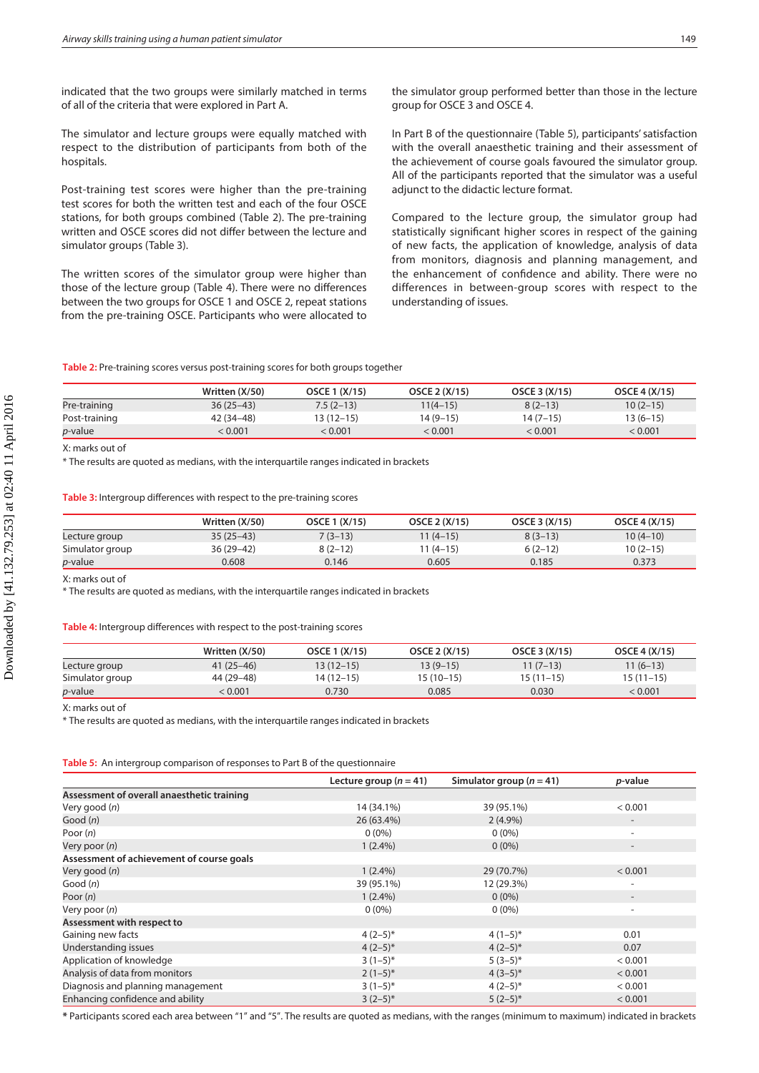indicated that the two groups were similarly matched in terms of all of the criteria that were explored in Part A.

The simulator and lecture groups were equally matched with respect to the distribution of participants from both of the hospitals.

Post-training test scores were higher than the pre-training test scores for both the written test and each of the four OSCE stations, for both groups combined (Table 2). The pre-training written and OSCE scores did not differ between the lecture and simulator groups (Table 3).

The written scores of the simulator group were higher than those of the lecture group (Table 4). There were no differences between the two groups for OSCE 1 and OSCE 2, repeat stations from the pre-training OSCE. Participants who were allocated to the simulator group performed better than those in the lecture group for OSCE 3 and OSCE 4.

In Part B of the questionnaire (Table 5), participants' satisfaction with the overall anaesthetic training and their assessment of the achievement of course goals favoured the simulator group. All of the participants reported that the simulator was a useful adjunct to the didactic lecture format.

Compared to the lecture group, the simulator group had statistically significant higher scores in respect of the gaining of new facts, the application of knowledge, analysis of data from monitors, diagnosis and planning management, and the enhancement of confidence and ability. There were no differences in between-group scores with respect to the understanding of issues.

**Table 2:** Pre-training scores versus post-training scores for both groups together

|                 | Written (X/50) | OSCE 1 (X/15) | OSCE 2 (X/15) | OSCE 3 (X/15) | OSCE 4 (X/15) |
|-----------------|----------------|---------------|---------------|---------------|---------------|
| Pre-training    | $36(25-43)$    | $7.5(2-13)$   | 11(4–15)      | $8(2-13)$     | $10(2-15)$    |
| Post-training   | 42 (34–48)     | 13 (12–15)    | $14(9-15)$    | $14(7-15)$    | $13(6-15)$    |
| <i>p</i> -value | < 0.001        | < 0.001       | < 0.001       | < 0.001       | < 0.001       |

X: marks out of

\* The results are quoted as medians, with the interquartile ranges indicated in brackets

**Table 3:** Intergroup differences with respect to the pre-training scores

|                 | Written (X/50) | OSCE 1 (X/15) | OSCE 2 (X/15) | OSCE 3 (X/15) | OSCE 4 (X/15) |
|-----------------|----------------|---------------|---------------|---------------|---------------|
| Lecture group   | $35(25-43)$    | $7(3-13)$     | $11(4-15)$    | $8(3-13)$     | $10(4-10)$    |
| Simulator group | $36(29-42)$    | $8(2-12)$     | 11 (4–15)     | $6(2-12)$     | $10(2-15)$    |
| <i>p</i> -value | 0.608          | 0.146         | 0.605         | 0.185         | 0.373         |

X: marks out of

\* The results are quoted as medians, with the interquartile ranges indicated in brackets

**Table 4:** Intergroup differences with respect to the post-training scores

|                 | Written (X/50) | OSCE 1 (X/15) | OSCE 2 (X/15) | OSCE 3 (X/15) | OSCE 4 (X/15) |
|-----------------|----------------|---------------|---------------|---------------|---------------|
| Lecture group   | $41(25-46)$    | $13(12-15)$   | $13(9-15)$    | $11(7-13)$    | $11(6-13)$    |
| Simulator group | 44 (29–48)     | 14 (12–15)    | 15 (10–15)    | $15(11-15)$   | $15(11-15)$   |
| <i>p</i> -value | < 0.001        | 0.730         | 0.085         | 0.030         | < 0.001       |

X: marks out of

\* The results are quoted as medians, with the interquartile ranges indicated in brackets

**Table 5:** An intergroup comparison of responses to Part B of the questionnaire

|                                            | Lecture group $(n = 41)$ | Simulator group ( $n = 41$ ) | p-value                      |
|--------------------------------------------|--------------------------|------------------------------|------------------------------|
| Assessment of overall anaesthetic training |                          |                              |                              |
| Very good $(n)$                            | 14 (34.1%)               | 39 (95.1%)                   | < 0.001                      |
| Good $(n)$                                 | 26 (63.4%)               | $2(4.9\%)$                   | $\overline{\phantom{a}}$     |
| Poor $(n)$                                 | $0(0\%)$                 | $0(0\%)$                     | $\qquad \qquad \blacksquare$ |
| Very poor (n)                              | $1(2.4\%)$               | $0(0\%)$                     | $\overline{\phantom{a}}$     |
| Assessment of achievement of course goals  |                          |                              |                              |
| Very good (n)                              | $1(2.4\%)$               | 29 (70.7%)                   | < 0.001                      |
| Good $(n)$                                 | 39 (95.1%)               | 12 (29.3%)                   | ٠                            |
| Poor $(n)$                                 | $1(2.4\%)$               | $0(0\%)$                     | $\overline{\phantom{a}}$     |
| Very poor $(n)$                            | $0(0\%)$                 | $0(0\%)$                     | $\overline{\phantom{a}}$     |
| Assessment with respect to                 |                          |                              |                              |
| Gaining new facts                          | $4(2-5)*$                | $4(1-5)$ *                   | 0.01                         |
| Understanding issues                       | $4(2-5)*$                | $4(2-5)*$                    | 0.07                         |
| Application of knowledge                   | $3(1-5)*$                | $5(3-5)*$                    | < 0.001                      |
| Analysis of data from monitors             | $2(1-5)*$                | $4(3-5)*$                    | < 0.001                      |
| Diagnosis and planning management          | $3(1-5)$ *               | $4(2-5)*$                    | < 0.001                      |
| Enhancing confidence and ability           | $3(2-5)*$                | $5(2-5)*$                    | < 0.001                      |

**\*** Participants scored each area between "1" and "5". The results are quoted as medians, with the ranges (minimum to maximum) indicated in brackets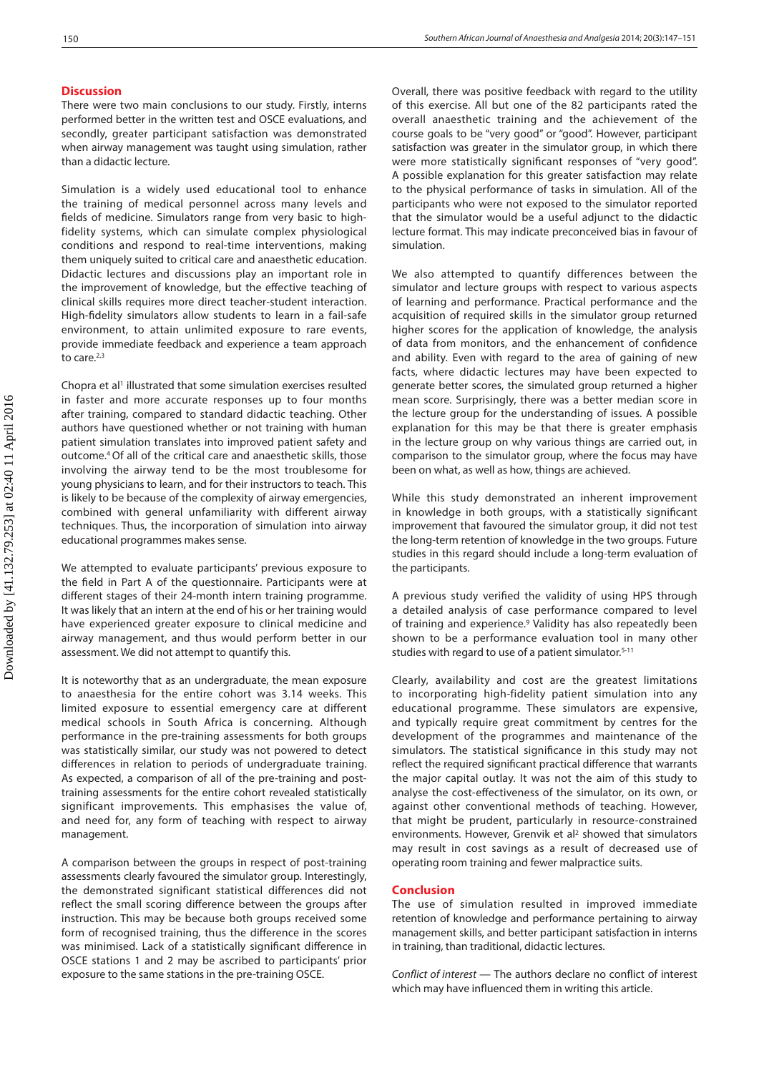## **Discussion**

There were two main conclusions to our study. Firstly, interns performed better in the written test and OSCE evaluations, and secondly, greater participant satisfaction was demonstrated when airway management was taught using simulation, rather than a didactic lecture.

Simulation is a widely used educational tool to enhance the training of medical personnel across many levels and fields of medicine. Simulators range from very basic to highfidelity systems, which can simulate complex physiological conditions and respond to real-time interventions, making them uniquely suited to critical care and anaesthetic education. Didactic lectures and discussions play an important role in the improvement of knowledge, but the effective teaching of clinical skills requires more direct teacher-student interaction. High-fidelity simulators allow students to learn in a fail-safe environment, to attain unlimited exposure to rare events, provide immediate feedback and experience a team approach to care.<sup>2,3</sup>

Chopra et al<sup>1</sup> illustrated that some simulation exercises resulted in faster and more accurate responses up to four months after training, compared to standard didactic teaching. Other authors have questioned whether or not training with human patient simulation translates into improved patient safety and outcome.4 Of all of the critical care and anaesthetic skills, those involving the airway tend to be the most troublesome for young physicians to learn, and for their instructors to teach. This is likely to be because of the complexity of airway emergencies, combined with general unfamiliarity with different airway techniques. Thus, the incorporation of simulation into airway educational programmes makes sense.

We attempted to evaluate participants' previous exposure to the field in Part A of the questionnaire. Participants were at different stages of their 24-month intern training programme. It was likely that an intern at the end of his or her training would have experienced greater exposure to clinical medicine and airway management, and thus would perform better in our assessment. We did not attempt to quantify this.

It is noteworthy that as an undergraduate, the mean exposure to anaesthesia for the entire cohort was 3.14 weeks. This limited exposure to essential emergency care at different medical schools in South Africa is concerning. Although performance in the pre-training assessments for both groups was statistically similar, our study was not powered to detect differences in relation to periods of undergraduate training. As expected, a comparison of all of the pre-training and posttraining assessments for the entire cohort revealed statistically significant improvements. This emphasises the value of, and need for, any form of teaching with respect to airway management.

A comparison between the groups in respect of post-training assessments clearly favoured the simulator group. Interestingly, the demonstrated significant statistical differences did not reflect the small scoring difference between the groups after instruction. This may be because both groups received some form of recognised training, thus the difference in the scores was minimised. Lack of a statistically significant difference in OSCE stations 1 and 2 may be ascribed to participants' prior exposure to the same stations in the pre-training OSCE.

Overall, there was positive feedback with regard to the utility of this exercise. All but one of the 82 participants rated the overall anaesthetic training and the achievement of the course goals to be "very good" or "good". However, participant satisfaction was greater in the simulator group, in which there were more statistically significant responses of "very good". A possible explanation for this greater satisfaction may relate to the physical performance of tasks in simulation. All of the participants who were not exposed to the simulator reported that the simulator would be a useful adjunct to the didactic lecture format. This may indicate preconceived bias in favour of simulation.

We also attempted to quantify differences between the simulator and lecture groups with respect to various aspects of learning and performance. Practical performance and the acquisition of required skills in the simulator group returned higher scores for the application of knowledge, the analysis of data from monitors, and the enhancement of confidence and ability. Even with regard to the area of gaining of new facts, where didactic lectures may have been expected to generate better scores, the simulated group returned a higher mean score. Surprisingly, there was a better median score in the lecture group for the understanding of issues. A possible explanation for this may be that there is greater emphasis in the lecture group on why various things are carried out, in comparison to the simulator group, where the focus may have been on what, as well as how, things are achieved.

While this study demonstrated an inherent improvement in knowledge in both groups, with a statistically significant improvement that favoured the simulator group, it did not test the long-term retention of knowledge in the two groups. Future studies in this regard should include a long-term evaluation of the participants.

A previous study verified the validity of using HPS through a detailed analysis of case performance compared to level of training and experience.<sup>9</sup> Validity has also repeatedly been shown to be a performance evaluation tool in many other studies with regard to use of a patient simulator.<sup>5-11</sup>

Clearly, availability and cost are the greatest limitations to incorporating high-fidelity patient simulation into any educational programme. These simulators are expensive, and typically require great commitment by centres for the development of the programmes and maintenance of the simulators. The statistical significance in this study may not reflect the required significant practical difference that warrants the major capital outlay. It was not the aim of this study to analyse the cost-effectiveness of the simulator, on its own, or against other conventional methods of teaching. However, that might be prudent, particularly in resource-constrained environments. However, Grenvik et al<sup>2</sup> showed that simulators may result in cost savings as a result of decreased use of operating room training and fewer malpractice suits.

# **Conclusion**

The use of simulation resulted in improved immediate retention of knowledge and performance pertaining to airway management skills, and better participant satisfaction in interns in training, than traditional, didactic lectures.

Conflict of interest — The authors declare no conflict of interest which may have influenced them in writing this article.